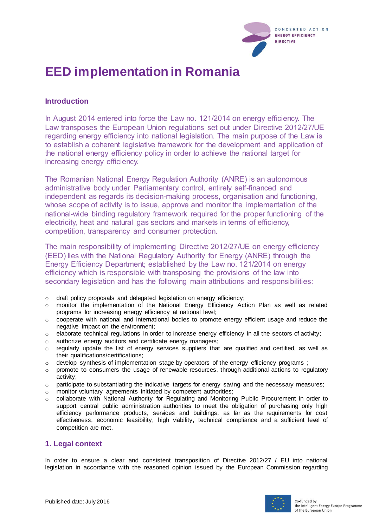

# **EED implementation in Romania**

## **Introduction**

In August 2014 entered into force the Law no. 121/2014 on energy efficiency. The Law transposes the European Union regulations set out under Directive 2012/27/UE regarding energy efficiency into national legislation. The main purpose of the Law is to establish a coherent legislative framework for the development and application of the national energy efficiency policy in order to achieve the national target for increasing energy efficiency.

The Romanian National Energy Regulation Authority (ANRE) is an autonomous administrative body under Parliamentary control, entirely self-financed and independent as regards its decision-making process, organisation and functioning, whose scope of activity is to issue, approve and monitor the implementation of the national-wide binding regulatory framework required for the proper functioning of the electricity, heat and natural gas sectors and markets in terms of efficiency, competition, transparency and consumer protection.

The main responsibility of implementing Directive 2012/27/UE on energy efficiency (EED) lies with the National Regulatory Authority for Energy (ANRE) through the Energy Efficiency Department; established by the Law no. 121/2014 on energy efficiency which is responsible with transposing the provisions of the law into secondary legislation and has the following main attributions and responsibilities:

- o draft policy proposals and delegated legislation on energy efficiency;
- o monitor the implementation of the National Energy Efficiency Action Plan as well as related programs for increasing energy efficiency at national level;
- $\circ$  cooperate with national and international bodies to promote energy efficient usage and reduce the negative impact on the environment;
- $\circ$  elaborate technical regulations in order to increase energy efficiency in all the sectors of activity;
- o authorize energy auditors and certificate energy managers;
- o regularly update the list of energy services suppliers that are qualified and certified, as well as their qualifications/certifications;
- o develop synthesis of implementation stage by operators of the energy efficiency programs ;
- o promote to consumers the usage of renewable resources, through additional actions to regulatory activity;
- $\circ$  participate to substantiating the indicative targets for energy saving and the necessary measures;
- o monitor voluntary agreements initiated by competent authorities;
- o collaborate with National Authority for Regulating and Monitoring Public Procurement in order to support central public administration authorities to meet the obligation of purchasing only high efficiency performance products, services and buildings, as far as the requirements for cost effectiveness, economic feasibility, high viability, technical compliance and a sufficient level of competition are met.

#### **1. Legal context**

In order to ensure a clear and consistent transposition of Directive 2012/27 / EU into national legislation in accordance with the reasoned opinion issued by the European Commission regarding

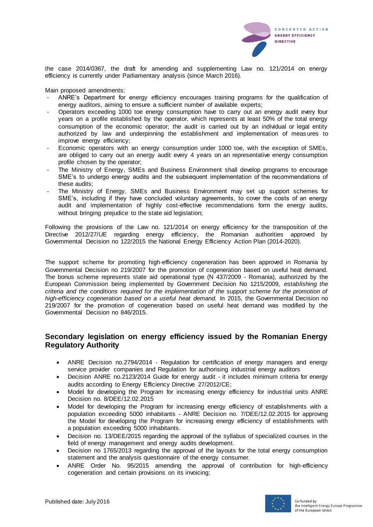

the case 2014/0367, the draft for amending and supplementing Law no. 121/2014 on energy efficiency is currently under Parliamentary analysis (since March 2016).

Main proposed amendments:

- ANRE's Department for energy efficiency encourages training programs for the qualification of energy auditors, aiming to ensure a sufficient number of available experts;
- Operators exceeding 1000 toe energy consumption have to carry out an energy audit every four years on a profile established by the operator, which represents at least 50% of the total energy consumption of the economic operator; the audit is carried out by an individual or legal entity authorized by law and underpinning the establishment and implementation of meas ures to improve energy efficiency;
- Economic operators with an energy consumption under 1000 toe, with the exception of SMEs, are obliged to carry out an energy audit every 4 years on an representative energy consumption profile chosen by the operator;
- The Ministry of Energy, SMEs and Business Environment shall develop programs to encourage SME's to undergo energy audits and the subsequent implementation of the recommendations of these audits;
- The Ministry of Energy, SMEs and Business Environment may set up support schemes for SME's, including if they have concluded voluntary agreements, to cover the costs of an energy audit and implementation of highly cost-effective recommendations form the energy audits, without bringing prejudice to the state aid legislation;

Following the provisions of the Law no. 121/2014 on energy efficiency for the transposition of the Directive 2012/27/UE regarding energy efficiency, the Romanian authorities approved by Governmental Decision no 122/2015 the National Energy Efficiency Action Plan (2014-2020).

The support scheme for promoting high-efficiency cogeneration has been approved in Romania by Governmental Decision no 219/2007 for the promotion of cogeneration based on useful heat demand. The bonus scheme represents state aid operational type (N 437/2009 - Romania), authorized by the European Commission being implemented by Government Decision No 1215/2009, *establishing the criteria and the conditions required for the implementation of the support scheme for the promotion of high-efficiency cogeneration based on a useful heat demand.* In 2015, the Governmental Decision no 219/2007 for the promotion of cogeneration based on useful heat demand was modified by the Governmental Decision no 846/2015.

#### **Secondary legislation on energy efficiency issued by the Romanian Energy Regulatory Authority**

- ANRE Decision no.2794/2014 Regulation for certification of energy managers and energy service provider companies and Regulation for authorising industrial energy auditors
- Decision ANRE no.2123/2014 Guide for energy audit it includes minimum criteria for energy audits according to Energy Efficiency Directive 27/2012/CE;
- Model for developing the Program for increasing energy efficiency for industrial units ANRE Decision no. 8/DEE/12.02.2015
- Model for developing the Program for increasing energy efficiency of establishments with a population exceeding 5000 inhabitants - ANRE Decision no. 7/DEE/12.02.2015 for approving the Model for developing the Program for increasing energy efficiency of establishments with a population exceeding 5000 inhabitants.
- Decision no. 13/DEE/2015 regarding the approval of the syllabus of specialized courses in the field of energy management and energy audits development.
- Decision no 1765/2013 regarding the approval of the layouts for the total energy consumption statement and the analysis questionnaire of the energy consumer.
- ANRE Order No. 95/2015 amending the approval of contribution for high-efficiency cogeneration and certain provisions on its invoicing;

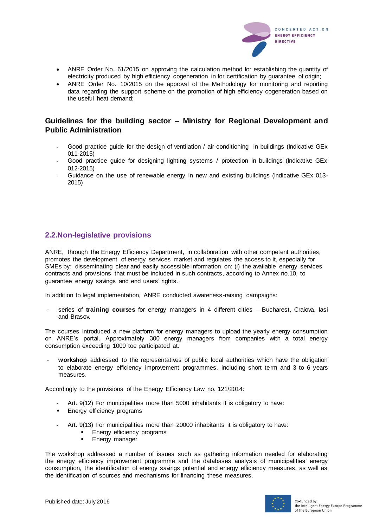

- ANRE Order No. 61/2015 on approving the calculation method for establishing the quantity of electricity produced by high efficiency cogeneration in for certification by guarantee of origin;
- ANRE Order No. 10/2015 on the approval of the Methodology for monitoring and reporting data regarding the support scheme on the promotion of high efficiency cogeneration based on the useful heat demand;

## **Guidelines for the building sector – Ministry for Regional Development and Public Administration**

- **-** Good practice guide for the design of ventilation / air-conditioning in buildings (Indicative GEx 011-2015)
- **-** Good practice guide for designing lighting systems / protection in buildings (Indicative GEx 012-2015)
- **-** Guidance on the use of renewable energy in new and existing buildings (Indicative GEx 013- 2015)

# **2.2.Non-legislative provisions**

ANRE, through the Energy Efficiency Department, in collaboration with other competent authorities, promotes the development of energy services market and regulates the access to it, especially for SMEs by: disseminating clear and easily accessible information on: (i) the available energy services contracts and provisions that must be included in such contracts, according to Annex no.10, to guarantee energy savings and end users' rights.

In addition to legal implementation, ANRE conducted awareness-raising campaigns:

- series of **training courses** for energy managers in 4 different cities – Bucharest, Craiova, Iasi and Brasov.

The courses introduced a new platform for energy managers to upload the yearly energy consumption on ANRE's portal. Approximately 300 energy managers from companies with a total energy consumption exceeding 1000 toe participated at.

workshop addressed to the representatives of public local authorities which have the obligation to elaborate energy efficiency improvement programmes, including short term and 3 to 6 years measures.

Accordingly to the provisions of the Energy Efficiency Law no. 121/2014:

- **-** Art. 9(12) For municipalities more than 5000 inhabitants it is obligatory to have:
- **Energy efficiency programs**
- **-** Art. 9(13) For municipalities more than 20000 inhabitants it is obligatory to have:
	- **Energy efficiency programs**
	- **Energy manager**

The workshop addressed a number of issues such as gathering information needed for elaborating the energy efficiency improvement programme and the databases analysis of municipalities' energy consumption, the identification of energy savings potential and energy efficiency measures, as well as the identification of sources and mechanisms for financing these measures.